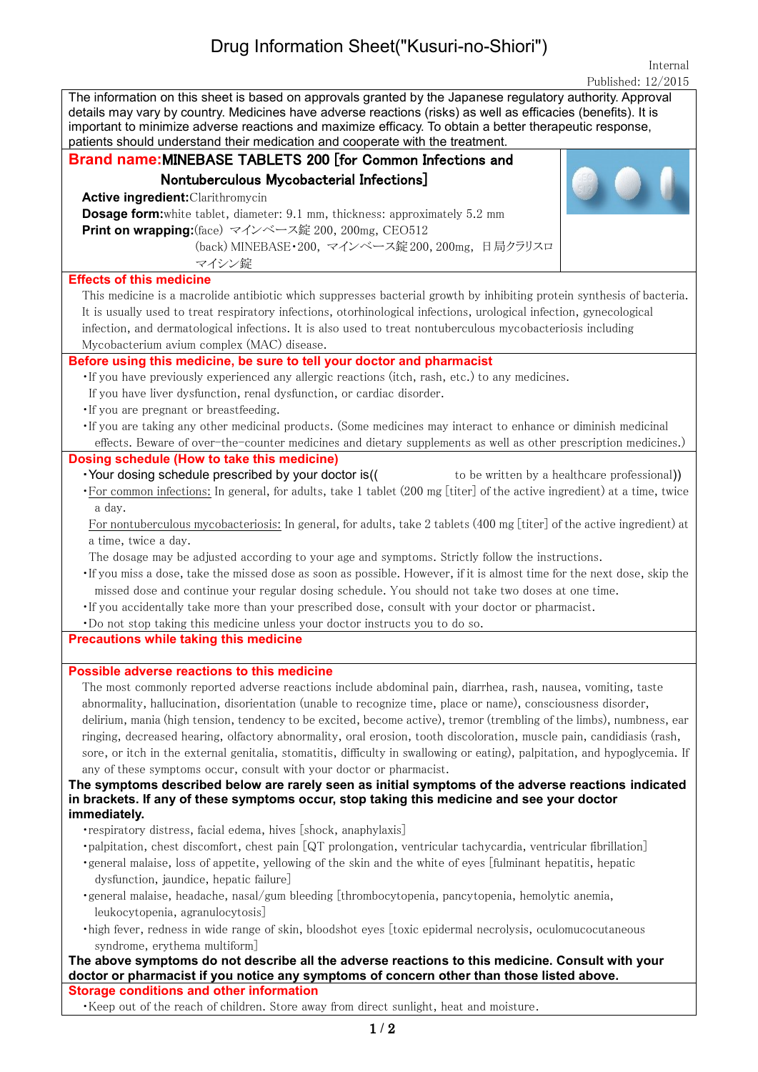## Drug Information Sheet("Kusuri-no-Shiori")

Internal Published: 12/2015

| The information on this sheet is based on approvals granted by the Japanese regulatory authority. Approval                                                                                    |  |  |  |  |
|-----------------------------------------------------------------------------------------------------------------------------------------------------------------------------------------------|--|--|--|--|
| details may vary by country. Medicines have adverse reactions (risks) as well as efficacies (benefits). It is                                                                                 |  |  |  |  |
| important to minimize adverse reactions and maximize efficacy. To obtain a better therapeutic response,<br>patients should understand their medication and cooperate with the treatment.      |  |  |  |  |
| Brand name: MINEBASE TABLETS 200 [for Common Infections and                                                                                                                                   |  |  |  |  |
|                                                                                                                                                                                               |  |  |  |  |
| Nontuberculous Mycobacterial Infections]                                                                                                                                                      |  |  |  |  |
| <b>Active ingredient: Clarithromycin</b>                                                                                                                                                      |  |  |  |  |
| <b>Dosage form:</b> white tablet, diameter: 9.1 mm, thickness: approximately 5.2 mm                                                                                                           |  |  |  |  |
| Print on wrapping: (face) マインベース錠 200, 200mg, CEO512                                                                                                                                          |  |  |  |  |
| (back) MINEBASE·200, マインベース錠 200, 200mg, 日局クラリスロ                                                                                                                                              |  |  |  |  |
| マイシン錠                                                                                                                                                                                         |  |  |  |  |
| <b>Effects of this medicine</b>                                                                                                                                                               |  |  |  |  |
| This medicine is a macrolide antibiotic which suppresses bacterial growth by inhibiting protein synthesis of bacteria.                                                                        |  |  |  |  |
| It is usually used to treat respiratory infections, otorhinological infections, urological infection, gynecological                                                                           |  |  |  |  |
| infection, and dermatological infections. It is also used to treat nontuberculous mycobacteriosis including                                                                                   |  |  |  |  |
| Mycobacterium avium complex (MAC) disease.                                                                                                                                                    |  |  |  |  |
| Before using this medicine, be sure to tell your doctor and pharmacist                                                                                                                        |  |  |  |  |
| · If you have previously experienced any allergic reactions (itch, rash, etc.) to any medicines.                                                                                              |  |  |  |  |
| If you have liver dysfunction, renal dysfunction, or cardiac disorder.                                                                                                                        |  |  |  |  |
| . If you are pregnant or breastfeeding.                                                                                                                                                       |  |  |  |  |
| · If you are taking any other medicinal products. (Some medicines may interact to enhance or diminish medicinal                                                                               |  |  |  |  |
| effects. Beware of over-the-counter medicines and dietary supplements as well as other prescription medicines.)<br>Dosing schedule (How to take this medicine)                                |  |  |  |  |
| · Your dosing schedule prescribed by your doctor is((<br>to be written by a healthcare professional)                                                                                          |  |  |  |  |
| •For common infections: In general, for adults, take 1 tablet (200 mg [titer] of the active ingredient) at a time, twice                                                                      |  |  |  |  |
| a day.                                                                                                                                                                                        |  |  |  |  |
| For nontuberculous mycobacteriosis: In general, for adults, take 2 tablets (400 mg [titer] of the active ingredient) at                                                                       |  |  |  |  |
| a time, twice a day.                                                                                                                                                                          |  |  |  |  |
| The dosage may be adjusted according to your age and symptoms. Strictly follow the instructions.                                                                                              |  |  |  |  |
| . If you miss a dose, take the missed dose as soon as possible. However, if it is almost time for the next dose, skip the                                                                     |  |  |  |  |
| missed dose and continue your regular dosing schedule. You should not take two doses at one time.                                                                                             |  |  |  |  |
| . If you accidentally take more than your prescribed dose, consult with your doctor or pharmacist.                                                                                            |  |  |  |  |
| . Do not stop taking this medicine unless your doctor instructs you to do so.                                                                                                                 |  |  |  |  |
| <b>Precautions while taking this medicine</b>                                                                                                                                                 |  |  |  |  |
|                                                                                                                                                                                               |  |  |  |  |
| <b>Possible adverse reactions to this medicine</b>                                                                                                                                            |  |  |  |  |
| The most commonly reported adverse reactions include abdominal pain, diarrhea, rash, nausea, vomiting, taste                                                                                  |  |  |  |  |
| abnormality, hallucination, disorientation (unable to recognize time, place or name), consciousness disorder,                                                                                 |  |  |  |  |
| delirium, mania (high tension, tendency to be excited, become active), tremor (trembling of the limbs), numbness, ear                                                                         |  |  |  |  |
| ringing, decreased hearing, olfactory abnormality, oral erosion, tooth discoloration, muscle pain, candidiasis (rash,                                                                         |  |  |  |  |
| sore, or itch in the external genitalia, stomatitis, difficulty in swallowing or eating), palpitation, and hypoglycemia. If                                                                   |  |  |  |  |
| any of these symptoms occur, consult with your doctor or pharmacist.                                                                                                                          |  |  |  |  |
| The symptoms described below are rarely seen as initial symptoms of the adverse reactions indicated                                                                                           |  |  |  |  |
| in brackets. If any of these symptoms occur, stop taking this medicine and see your doctor                                                                                                    |  |  |  |  |
| immediately.                                                                                                                                                                                  |  |  |  |  |
| • respiratory distress, facial edema, hives [shock, anaphylaxis]                                                                                                                              |  |  |  |  |
| ·palpitation, chest discomfort, chest pain [QT prolongation, ventricular tachycardia, ventricular fibrillation]                                                                               |  |  |  |  |
| ·general malaise, loss of appetite, yellowing of the skin and the white of eyes [fulminant hepatitis, hepatic                                                                                 |  |  |  |  |
| dysfunction, jaundice, hepatic failure]                                                                                                                                                       |  |  |  |  |
| ·general malaise, headache, nasal/gum bleeding [thrombocytopenia, pancytopenia, hemolytic anemia,                                                                                             |  |  |  |  |
| leukocytopenia, agranulocytosis]                                                                                                                                                              |  |  |  |  |
| ·high fever, redness in wide range of skin, bloodshot eyes [toxic epidermal necrolysis, oculomucocutaneous                                                                                    |  |  |  |  |
| syndrome, erythema multiform]                                                                                                                                                                 |  |  |  |  |
| The above symptoms do not describe all the adverse reactions to this medicine. Consult with your<br>doctor or pharmacist if you notice any symptoms of concern other than those listed above. |  |  |  |  |
| <b>Storage conditions and other information</b>                                                                                                                                               |  |  |  |  |
| . Keep out of the reach of children. Store away from direct sunlight, heat and moisture.                                                                                                      |  |  |  |  |